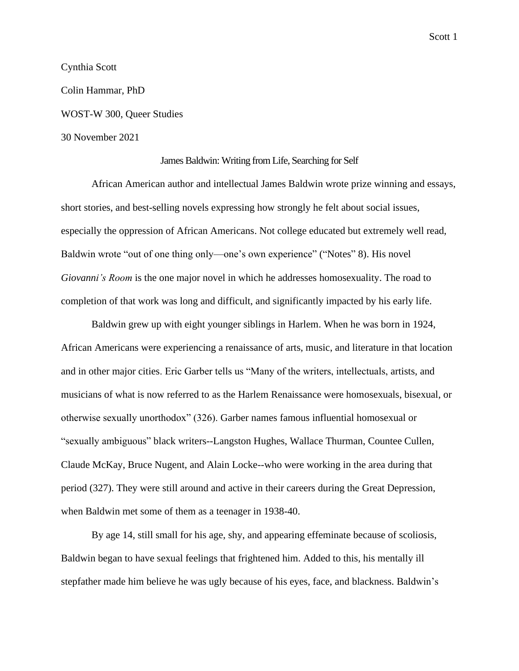Scott 1

Cynthia Scott Colin Hammar, PhD WOST-W 300, Queer Studies 30 November 2021

## James Baldwin: Writing from Life, Searching for Self

African American author and intellectual James Baldwin wrote prize winning and essays, short stories, and best-selling novels expressing how strongly he felt about social issues, especially the oppression of African Americans. Not college educated but extremely well read, Baldwin wrote "out of one thing only—one's own experience" ("Notes" 8). His novel *Giovanni's Room* is the one major novel in which he addresses homosexuality. The road to completion of that work was long and difficult, and significantly impacted by his early life.

Baldwin grew up with eight younger siblings in Harlem. When he was born in 1924, African Americans were experiencing a renaissance of arts, music, and literature in that location and in other major cities. Eric Garber tells us "Many of the writers, intellectuals, artists, and musicians of what is now referred to as the Harlem Renaissance were homosexuals, bisexual, or otherwise sexually unorthodox" (326). Garber names famous influential homosexual or "sexually ambiguous" black writers--Langston Hughes, Wallace Thurman, Countee Cullen, Claude McKay, Bruce Nugent, and Alain Locke--who were working in the area during that period (327). They were still around and active in their careers during the Great Depression, when Baldwin met some of them as a teenager in 1938-40.

By age 14, still small for his age, shy, and appearing effeminate because of scoliosis, Baldwin began to have sexual feelings that frightened him. Added to this, his mentally ill stepfather made him believe he was ugly because of his eyes, face, and blackness. Baldwin's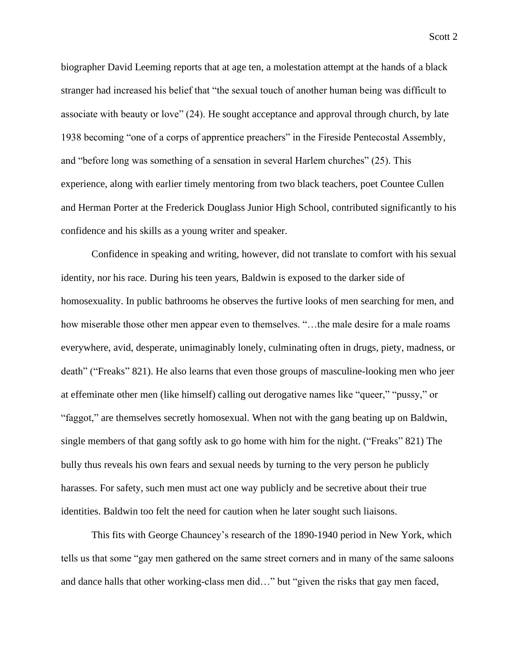biographer David Leeming reports that at age ten, a molestation attempt at the hands of a black stranger had increased his belief that "the sexual touch of another human being was difficult to associate with beauty or love" (24). He sought acceptance and approval through church, by late 1938 becoming "one of a corps of apprentice preachers" in the Fireside Pentecostal Assembly, and "before long was something of a sensation in several Harlem churches" (25). This experience, along with earlier timely mentoring from two black teachers, poet Countee Cullen and Herman Porter at the Frederick Douglass Junior High School, contributed significantly to his confidence and his skills as a young writer and speaker.

Confidence in speaking and writing, however, did not translate to comfort with his sexual identity, nor his race. During his teen years, Baldwin is exposed to the darker side of homosexuality. In public bathrooms he observes the furtive looks of men searching for men, and how miserable those other men appear even to themselves. "…the male desire for a male roams everywhere, avid, desperate, unimaginably lonely, culminating often in drugs, piety, madness, or death" ("Freaks" 821). He also learns that even those groups of masculine-looking men who jeer at effeminate other men (like himself) calling out derogative names like "queer," "pussy," or "faggot," are themselves secretly homosexual. When not with the gang beating up on Baldwin, single members of that gang softly ask to go home with him for the night. ("Freaks" 821) The bully thus reveals his own fears and sexual needs by turning to the very person he publicly harasses. For safety, such men must act one way publicly and be secretive about their true identities. Baldwin too felt the need for caution when he later sought such liaisons.

This fits with George Chauncey's research of the 1890-1940 period in New York, which tells us that some "gay men gathered on the same street corners and in many of the same saloons and dance halls that other working-class men did…" but "given the risks that gay men faced,

Scott 2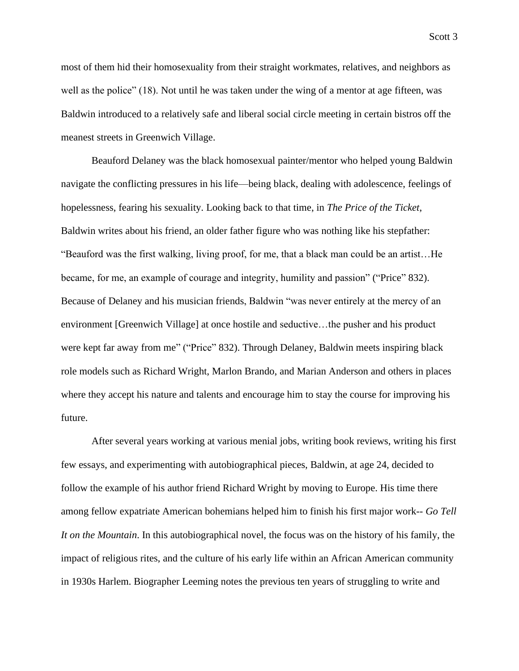most of them hid their homosexuality from their straight workmates, relatives, and neighbors as well as the police" (18). Not until he was taken under the wing of a mentor at age fifteen, was Baldwin introduced to a relatively safe and liberal social circle meeting in certain bistros off the meanest streets in Greenwich Village.

Beauford Delaney was the black homosexual painter/mentor who helped young Baldwin navigate the conflicting pressures in his life—being black, dealing with adolescence, feelings of hopelessness, fearing his sexuality. Looking back to that time, in *The Price of the Ticket*, Baldwin writes about his friend, an older father figure who was nothing like his stepfather: "Beauford was the first walking, living proof, for me, that a black man could be an artist…He became, for me, an example of courage and integrity, humility and passion" ("Price" 832). Because of Delaney and his musician friends, Baldwin "was never entirely at the mercy of an environment [Greenwich Village] at once hostile and seductive…the pusher and his product were kept far away from me" ("Price" 832). Through Delaney, Baldwin meets inspiring black role models such as Richard Wright, Marlon Brando, and Marian Anderson and others in places where they accept his nature and talents and encourage him to stay the course for improving his future.

After several years working at various menial jobs, writing book reviews, writing his first few essays, and experimenting with autobiographical pieces, Baldwin, at age 24, decided to follow the example of his author friend Richard Wright by moving to Europe. His time there among fellow expatriate American bohemians helped him to finish his first major work-- *Go Tell It on the Mountain*. In this autobiographical novel, the focus was on the history of his family, the impact of religious rites, and the culture of his early life within an African American community in 1930s Harlem. Biographer Leeming notes the previous ten years of struggling to write and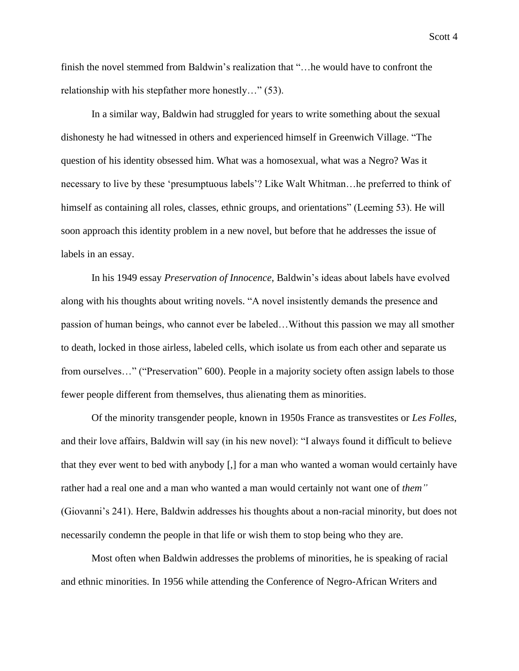finish the novel stemmed from Baldwin's realization that "…he would have to confront the relationship with his stepfather more honestly…" (53).

In a similar way, Baldwin had struggled for years to write something about the sexual dishonesty he had witnessed in others and experienced himself in Greenwich Village. "The question of his identity obsessed him. What was a homosexual, what was a Negro? Was it necessary to live by these 'presumptuous labels'? Like Walt Whitman…he preferred to think of himself as containing all roles, classes, ethnic groups, and orientations" (Leeming 53). He will soon approach this identity problem in a new novel, but before that he addresses the issue of labels in an essay.

In his 1949 essay *Preservation of Innocence*, Baldwin's ideas about labels have evolved along with his thoughts about writing novels. "A novel insistently demands the presence and passion of human beings, who cannot ever be labeled…Without this passion we may all smother to death, locked in those airless, labeled cells, which isolate us from each other and separate us from ourselves…" ("Preservation" 600). People in a majority society often assign labels to those fewer people different from themselves, thus alienating them as minorities.

Of the minority transgender people, known in 1950s France as transvestites or *Les Folles*, and their love affairs, Baldwin will say (in his new novel): "I always found it difficult to believe that they ever went to bed with anybody [,] for a man who wanted a woman would certainly have rather had a real one and a man who wanted a man would certainly not want one of *them"* (Giovanni's 241). Here, Baldwin addresses his thoughts about a non-racial minority, but does not necessarily condemn the people in that life or wish them to stop being who they are.

Most often when Baldwin addresses the problems of minorities, he is speaking of racial and ethnic minorities. In 1956 while attending the Conference of Negro-African Writers and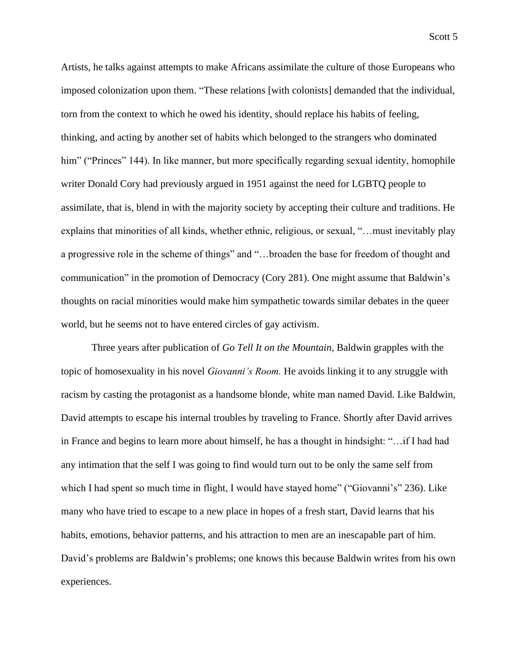Artists, he talks against attempts to make Africans assimilate the culture of those Europeans who imposed colonization upon them. "These relations [with colonists] demanded that the individual, torn from the context to which he owed his identity, should replace his habits of feeling, thinking, and acting by another set of habits which belonged to the strangers who dominated him" ("Princes" 144). In like manner, but more specifically regarding sexual identity, homophile writer Donald Cory had previously argued in 1951 against the need for LGBTQ people to assimilate, that is, blend in with the majority society by accepting their culture and traditions. He explains that minorities of all kinds, whether ethnic, religious, or sexual, "…must inevitably play a progressive role in the scheme of things" and "…broaden the base for freedom of thought and communication" in the promotion of Democracy (Cory 281). One might assume that Baldwin's thoughts on racial minorities would make him sympathetic towards similar debates in the queer world, but he seems not to have entered circles of gay activism.

Three years after publication of *Go Tell It on the Mountain*, Baldwin grapples with the topic of homosexuality in his novel *Giovanni's Room.* He avoids linking it to any struggle with racism by casting the protagonist as a handsome blonde, white man named David. Like Baldwin, David attempts to escape his internal troubles by traveling to France. Shortly after David arrives in France and begins to learn more about himself, he has a thought in hindsight: "…if I had had any intimation that the self I was going to find would turn out to be only the same self from which I had spent so much time in flight, I would have stayed home" ("Giovanni's" 236). Like many who have tried to escape to a new place in hopes of a fresh start, David learns that his habits, emotions, behavior patterns, and his attraction to men are an inescapable part of him. David's problems are Baldwin's problems; one knows this because Baldwin writes from his own experiences.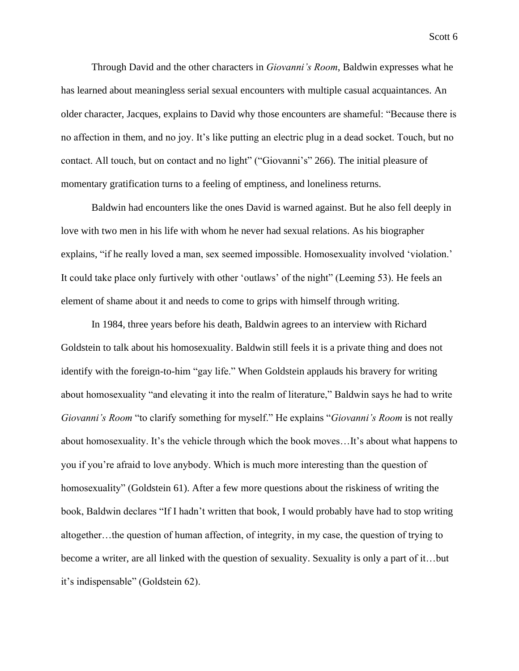Scott 6

Through David and the other characters in *Giovanni's Room*, Baldwin expresses what he has learned about meaningless serial sexual encounters with multiple casual acquaintances. An older character, Jacques, explains to David why those encounters are shameful: "Because there is no affection in them, and no joy. It's like putting an electric plug in a dead socket. Touch, but no contact. All touch, but on contact and no light" ("Giovanni's" 266). The initial pleasure of momentary gratification turns to a feeling of emptiness, and loneliness returns.

Baldwin had encounters like the ones David is warned against. But he also fell deeply in love with two men in his life with whom he never had sexual relations. As his biographer explains, "if he really loved a man, sex seemed impossible. Homosexuality involved 'violation.' It could take place only furtively with other 'outlaws' of the night" (Leeming 53). He feels an element of shame about it and needs to come to grips with himself through writing.

In 1984, three years before his death, Baldwin agrees to an interview with Richard Goldstein to talk about his homosexuality. Baldwin still feels it is a private thing and does not identify with the foreign-to-him "gay life." When Goldstein applauds his bravery for writing about homosexuality "and elevating it into the realm of literature," Baldwin says he had to write *Giovanni's Room* "to clarify something for myself." He explains "*Giovanni's Room* is not really about homosexuality. It's the vehicle through which the book moves…It's about what happens to you if you're afraid to love anybody. Which is much more interesting than the question of homosexuality" (Goldstein 61). After a few more questions about the riskiness of writing the book, Baldwin declares "If I hadn't written that book, I would probably have had to stop writing altogether…the question of human affection, of integrity, in my case, the question of trying to become a writer, are all linked with the question of sexuality. Sexuality is only a part of it…but it's indispensable" (Goldstein 62).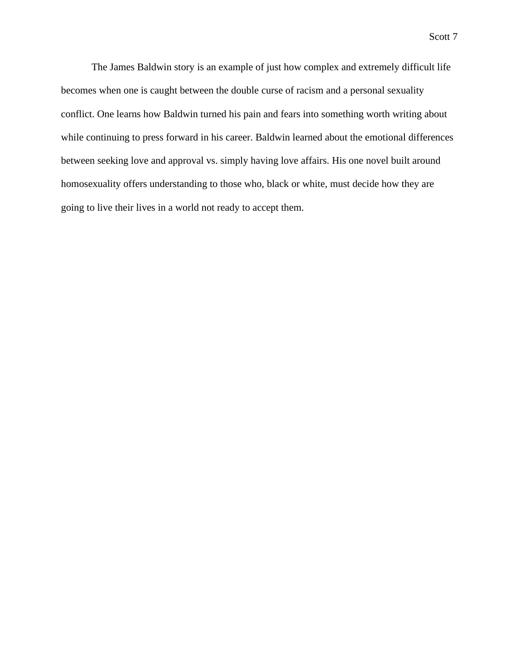The James Baldwin story is an example of just how complex and extremely difficult life becomes when one is caught between the double curse of racism and a personal sexuality conflict. One learns how Baldwin turned his pain and fears into something worth writing about while continuing to press forward in his career. Baldwin learned about the emotional differences between seeking love and approval vs. simply having love affairs. His one novel built around homosexuality offers understanding to those who, black or white, must decide how they are going to live their lives in a world not ready to accept them.